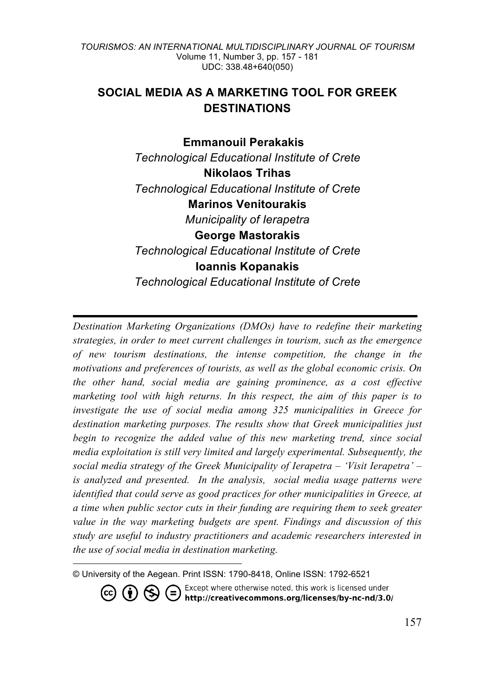# **SOCIAL MEDIA AS A MARKETING TOOL FOR GREEK DESTINATIONS**

### **Emmanouil Perakakis <sup>4</sup>**

*Technological Educational Institute of Crete* **Nikolaos Trihas** *Technological Educational Institute of Crete* **Marinos Venitourakis** *Municipality of Ierapetra* **George Mastorakis** *Technological Educational Institute of Crete* **Ioannis Kopanakis** *Technological Educational Institute of Crete*

*Destination Marketing Organizations (DMOs) have to redefine their marketing strategies, in order to meet current challenges in tourism, such as the emergence of new tourism destinations, the intense competition, the change in the motivations and preferences of tourists, as well as the global economic crisis. On the other hand, social media are gaining prominence, as a cost effective marketing tool with high returns. In this respect, the aim of this paper is to investigate the use of social media among 325 municipalities in Greece for destination marketing purposes. The results show that Greek municipalities just begin to recognize the added value of this new marketing trend, since social media exploitation is still very limited and largely experimental. Subsequently, the social media strategy of the Greek Municipality of Ierapetra – 'Visit Ierapetra' – is analyzed and presented. In the analysis, social media usage patterns were identified that could serve as good practices for other municipalities in Greece, at a time when public sector cuts in their funding are requiring them to seek greater value in the way marketing budgets are spent. Findings and discussion of this study are useful to industry practitioners and academic researchers interested in the use of social media in destination marketing.*

© University of the Aegean. Print ISSN: 1790-8418, Online ISSN: 1792-6521

-

Except where otherwise noted, this work is licensed under<br>http://creativecommons.org/licenses/by-nc-nd/3.0/  $($ =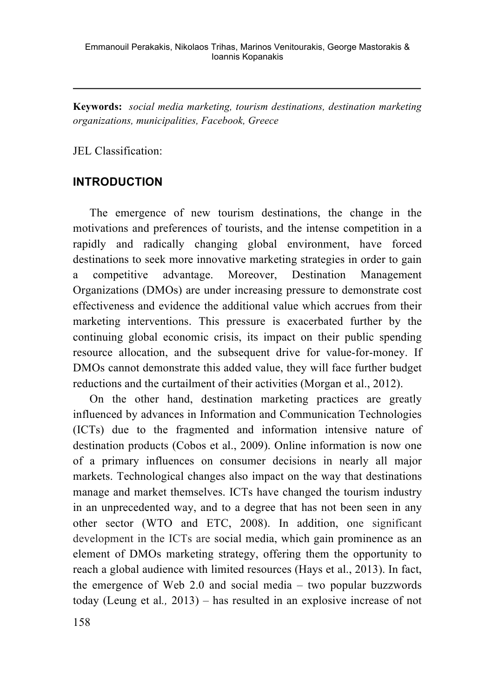**Keywords:** *social media marketing, tourism destinations, destination marketing organizations, municipalities, Facebook, Greece*

JEL Classification:

# **INTRODUCTION**

The emergence of new tourism destinations, the change in the motivations and preferences of tourists, and the intense competition in a rapidly and radically changing global environment, have forced destinations to seek more innovative marketing strategies in order to gain a competitive advantage. Moreover, Destination Management Organizations (DMOs) are under increasing pressure to demonstrate cost effectiveness and evidence the additional value which accrues from their marketing interventions. This pressure is exacerbated further by the continuing global economic crisis, its impact on their public spending resource allocation, and the subsequent drive for value-for-money. If DMOs cannot demonstrate this added value, they will face further budget reductions and the curtailment of their activities (Morgan et al., 2012).

On the other hand, destination marketing practices are greatly influenced by advances in Information and Communication Technologies (ICTs) due to the fragmented and information intensive nature of destination products (Cobos et al., 2009). Online information is now one of a primary influences on consumer decisions in nearly all major markets. Technological changes also impact on the way that destinations manage and market themselves. ICTs have changed the tourism industry in an unprecedented way, and to a degree that has not been seen in any other sector (WTO and ETC, 2008). In addition, one significant development in the ICTs are social media, which gain prominence as an element of DMOs marketing strategy, offering them the opportunity to reach a global audience with limited resources (Hays et al., 2013). In fact, the emergence of Web 2.0 and social media – two popular buzzwords today (Leung et al*.,* 2013) – has resulted in an explosive increase of not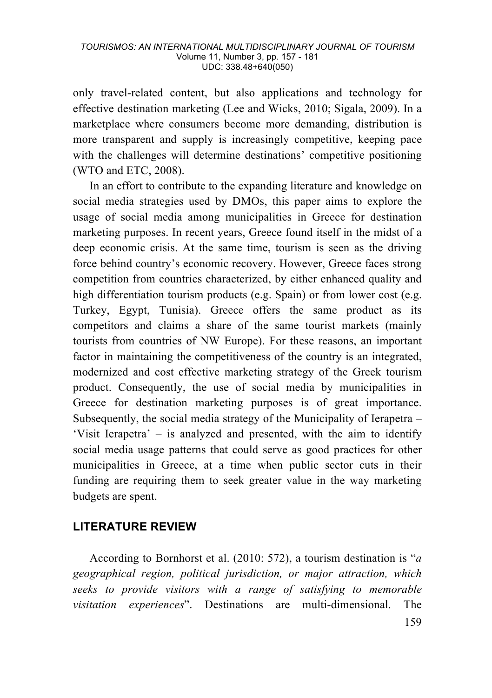only travel-related content, but also applications and technology for effective destination marketing (Lee and Wicks, 2010; Sigala, 2009). In a marketplace where consumers become more demanding, distribution is more transparent and supply is increasingly competitive, keeping pace with the challenges will determine destinations' competitive positioning (WTO and ETC, 2008).

In an effort to contribute to the expanding literature and knowledge on social media strategies used by DMOs, this paper aims to explore the usage of social media among municipalities in Greece for destination marketing purposes. In recent years, Greece found itself in the midst of a deep economic crisis. At the same time, tourism is seen as the driving force behind country's economic recovery. However, Greece faces strong competition from countries characterized, by either enhanced quality and high differentiation tourism products (e.g. Spain) or from lower cost (e.g. Turkey, Egypt, Tunisia). Greece offers the same product as its competitors and claims a share of the same tourist markets (mainly tourists from countries of NW Europe). For these reasons, an important factor in maintaining the competitiveness of the country is an integrated, modernized and cost effective marketing strategy of the Greek tourism product. Consequently, the use of social media by municipalities in Greece for destination marketing purposes is of great importance. Subsequently, the social media strategy of the Municipality of Ierapetra  $-$ 'Visit Ierapetra' – is analyzed and presented, with the aim to identify social media usage patterns that could serve as good practices for other municipalities in Greece, at a time when public sector cuts in their funding are requiring them to seek greater value in the way marketing budgets are spent.

# **LITERATURE REVIEW**

According to Bornhorst et al. (2010: 572), a tourism destination is "*a geographical region, political jurisdiction, or major attraction, which seeks to provide visitors with a range of satisfying to memorable visitation experiences*". Destinations are multi-dimensional. The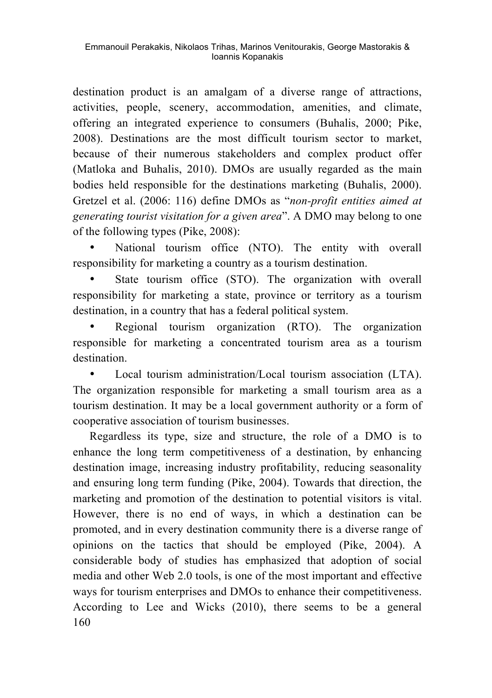destination product is an amalgam of a diverse range of attractions. activities, people, scenery, accommodation, amenities, and climate, offering an integrated experience to consumers (Buhalis, 2000; Pike, 2008). Destinations are the most difficult tourism sector to market, because of their numerous stakeholders and complex product offer (Matloka and Buhalis, 2010). DMOs are usually regarded as the main bodies held responsible for the destinations marketing (Buhalis, 2000). Gretzel et al. (2006: 116) define DMOs as "*non-profit entities aimed at generating tourist visitation for a given area*". A DMO may belong to one of the following types (Pike, 2008):

National tourism office (NTO). The entity with overall responsibility for marketing a country as a tourism destination.

State tourism office (STO). The organization with overall responsibility for marketing a state, province or territory as a tourism destination, in a country that has a federal political system.

• Regional tourism organization (RTO). The organization responsible for marketing a concentrated tourism area as a tourism destination.

Local tourism administration/Local tourism association (LTA). The organization responsible for marketing a small tourism area as a tourism destination. It may be a local government authority or a form of cooperative association of tourism businesses.

160 Regardless its type, size and structure, the role of a DMO is to enhance the long term competitiveness of a destination, by enhancing destination image, increasing industry profitability, reducing seasonality and ensuring long term funding (Pike, 2004). Towards that direction, the marketing and promotion of the destination to potential visitors is vital. However, there is no end of ways, in which a destination can be promoted, and in every destination community there is a diverse range of opinions on the tactics that should be employed (Pike, 2004). A considerable body of studies has emphasized that adoption of social media and other Web 2.0 tools, is one of the most important and effective ways for tourism enterprises and DMOs to enhance their competitiveness. According to Lee and Wicks (2010), there seems to be a general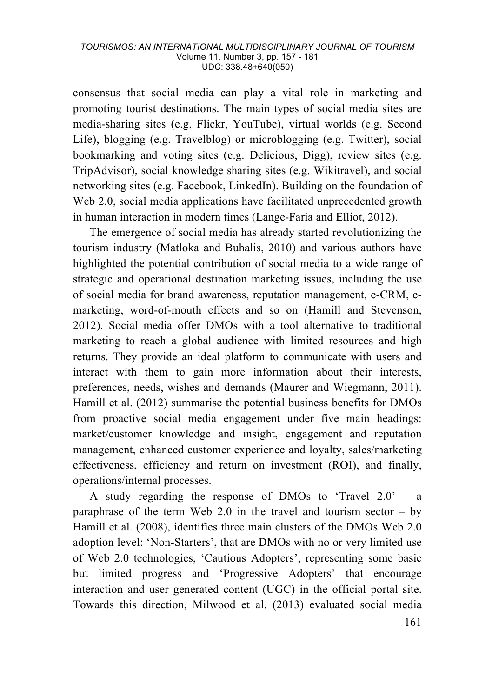consensus that social media can play a vital role in marketing and promoting tourist destinations. The main types of social media sites are media-sharing sites (e.g. Flickr, YouTube), virtual worlds (e.g. Second Life), blogging (e.g. Travelblog) or microblogging (e.g. Twitter), social bookmarking and voting sites (e.g. Delicious, Digg), review sites (e.g. TripAdvisor), social knowledge sharing sites (e.g. Wikitravel), and social networking sites (e.g. Facebook, LinkedIn). Building on the foundation of Web 2.0, social media applications have facilitated unprecedented growth in human interaction in modern times (Lange-Faria and Elliot, 2012).

The emergence of social media has already started revolutionizing the tourism industry (Matloka and Buhalis, 2010) and various authors have highlighted the potential contribution of social media to a wide range of strategic and operational destination marketing issues, including the use of social media for brand awareness, reputation management, e-CRM, emarketing, word-of-mouth effects and so on (Hamill and Stevenson, 2012). Social media offer DMOs with a tool alternative to traditional marketing to reach a global audience with limited resources and high returns. They provide an ideal platform to communicate with users and interact with them to gain more information about their interests, preferences, needs, wishes and demands (Maurer and Wiegmann, 2011). Hamill et al. (2012) summarise the potential business benefits for DMOs from proactive social media engagement under five main headings: market/customer knowledge and insight, engagement and reputation management, enhanced customer experience and loyalty, sales/marketing effectiveness, efficiency and return on investment (ROI), and finally, operations/internal processes.

A study regarding the response of DMOs to 'Travel 2.0' – a paraphrase of the term Web 2.0 in the travel and tourism sector  $-$  by Hamill et al. (2008), identifies three main clusters of the DMOs Web 2.0 adoption level: 'Non-Starters', that are DMOs with no or very limited use of Web 2.0 technologies, 'Cautious Adopters', representing some basic but limited progress and 'Progressive Adopters' that encourage interaction and user generated content (UGC) in the official portal site. Towards this direction, Milwood et al. (2013) evaluated social media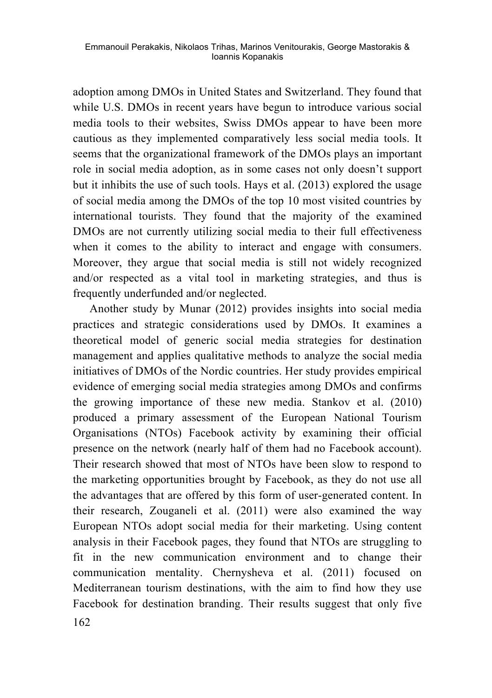adoption among DMOs in United States and Switzerland. They found that while U.S. DMOs in recent years have begun to introduce various social media tools to their websites, Swiss DMOs appear to have been more cautious as they implemented comparatively less social media tools. It seems that the organizational framework of the DMOs plays an important role in social media adoption, as in some cases not only doesn't support but it inhibits the use of such tools. Hays et al. (2013) explored the usage of social media among the DMOs of the top 10 most visited countries by international tourists. They found that the majority of the examined DMOs are not currently utilizing social media to their full effectiveness when it comes to the ability to interact and engage with consumers. Moreover, they argue that social media is still not widely recognized and/or respected as a vital tool in marketing strategies, and thus is frequently underfunded and/or neglected.

162 Another study by Munar (2012) provides insights into social media practices and strategic considerations used by DMOs. It examines a theoretical model of generic social media strategies for destination management and applies qualitative methods to analyze the social media initiatives of DMOs of the Nordic countries. Her study provides empirical evidence of emerging social media strategies among DMOs and confirms the growing importance of these new media. Stankov et al. (2010) produced a primary assessment of the European National Tourism Organisations (NTOs) Facebook activity by examining their official presence on the network (nearly half of them had no Facebook account). Their research showed that most of NTOs have been slow to respond to the marketing opportunities brought by Facebook, as they do not use all the advantages that are offered by this form of user-generated content. In their research, Zouganeli et al. (2011) were also examined the way European NTOs adopt social media for their marketing. Using content analysis in their Facebook pages, they found that NTOs are struggling to fit in the new communication environment and to change their communication mentality. Chernysheva et al. (2011) focused on Mediterranean tourism destinations, with the aim to find how they use Facebook for destination branding. Their results suggest that only five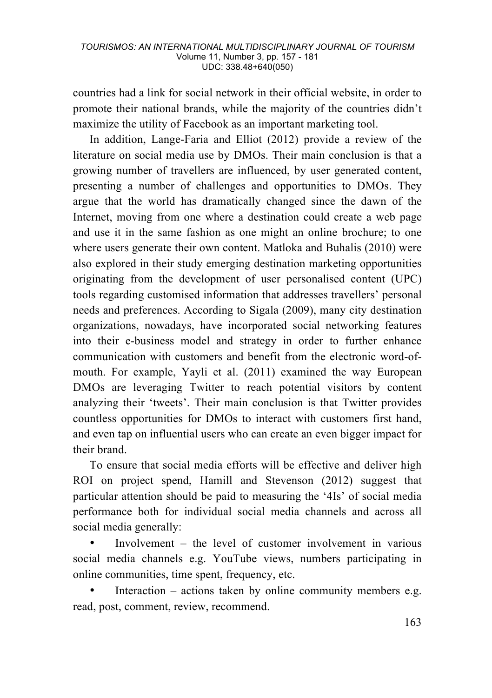countries had a link for social network in their official website, in order to promote their national brands, while the majority of the countries didn't maximize the utility of Facebook as an important marketing tool.

In addition, Lange-Faria and Elliot (2012) provide a review of the literature on social media use by DMOs. Their main conclusion is that a growing number of travellers are influenced, by user generated content, presenting a number of challenges and opportunities to DMOs. They argue that the world has dramatically changed since the dawn of the Internet, moving from one where a destination could create a web page and use it in the same fashion as one might an online brochure; to one where users generate their own content. Matloka and Buhalis (2010) were also explored in their study emerging destination marketing opportunities originating from the development of user personalised content (UPC) tools regarding customised information that addresses travellers' personal needs and preferences. According to Sigala (2009), many city destination organizations, nowadays, have incorporated social networking features into their e-business model and strategy in order to further enhance communication with customers and benefit from the electronic word-ofmouth. For example, Yayli et al. (2011) examined the way European DMOs are leveraging Twitter to reach potential visitors by content analyzing their 'tweets'. Their main conclusion is that Twitter provides countless opportunities for DMOs to interact with customers first hand, and even tap on influential users who can create an even bigger impact for their brand.

To ensure that social media efforts will be effective and deliver high ROI on project spend, Hamill and Stevenson (2012) suggest that particular attention should be paid to measuring the '4Is' of social media performance both for individual social media channels and across all social media generally:

• Involvement – the level of customer involvement in various social media channels e.g. YouTube views, numbers participating in online communities, time spent, frequency, etc.

Interaction – actions taken by online community members e.g. read, post, comment, review, recommend.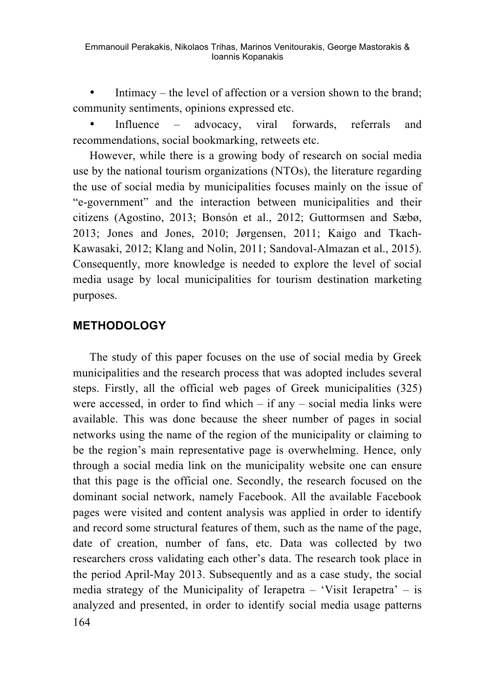Emmanouil Perakakis, Nikolaos Trihas, Marinos Venitourakis, George Mastorakis & Ioannis Kopanakis

Intimacy – the level of affection or a version shown to the brand; community sentiments, opinions expressed etc.

Influence – advocacy, viral forwards, referrals and recommendations, social bookmarking, retweets etc.

However, while there is a growing body of research on social media use by the national tourism organizations (NTOs), the literature regarding the use of social media by municipalities focuses mainly on the issue of "e-government" and the interaction between municipalities and their citizens (Agostino, 2013; Bonsón et al., 2012; Guttormsen and Sæbø, 2013; Jones and Jones, 2010; Jørgensen, 2011; Kaigo and Tkach-Kawasaki, 2012; Klang and Nolin, 2011; Sandoval-Almazan et al., 2015). Consequently, more knowledge is needed to explore the level of social media usage by local municipalities for tourism destination marketing purposes.

### **METHODOLOGY**

164 The study of this paper focuses on the use of social media by Greek municipalities and the research process that was adopted includes several steps. Firstly, all the official web pages of Greek municipalities (325) were accessed, in order to find which – if any – social media links were available. This was done because the sheer number of pages in social networks using the name of the region of the municipality or claiming to be the region's main representative page is overwhelming. Hence, only through a social media link on the municipality website one can ensure that this page is the official one. Secondly, the research focused on the dominant social network, namely Facebook. All the available Facebook pages were visited and content analysis was applied in order to identify and record some structural features of them, such as the name of the page, date of creation, number of fans, etc. Data was collected by two researchers cross validating each other's data. The research took place in the period April-May 2013. Subsequently and as a case study, the social media strategy of the Municipality of Ierapetra – 'Visit Ierapetra' – is analyzed and presented, in order to identify social media usage patterns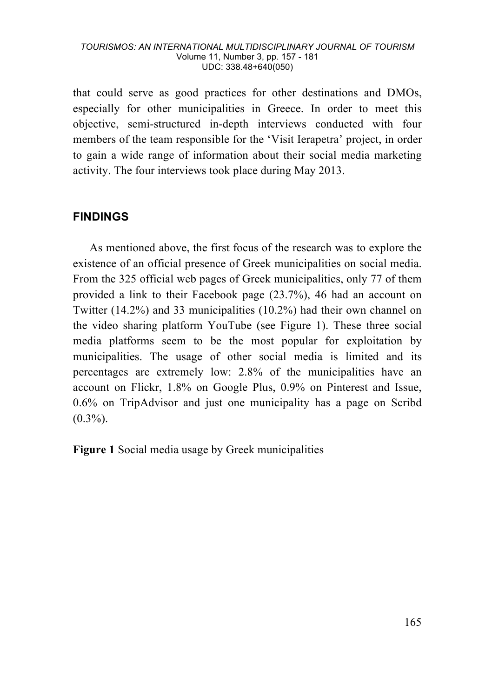that could serve as good practices for other destinations and DMOs, especially for other municipalities in Greece. In order to meet this objective, semi-structured in-depth interviews conducted with four members of the team responsible for the 'Visit Ierapetra' project, in order to gain a wide range of information about their social media marketing activity. The four interviews took place during May 2013.

# **FINDINGS**

As mentioned above, the first focus of the research was to explore the existence of an official presence of Greek municipalities on social media. From the 325 official web pages of Greek municipalities, only 77 of them provided a link to their Facebook page (23.7%), 46 had an account on Twitter (14.2%) and 33 municipalities (10.2%) had their own channel on the video sharing platform YouTube (see Figure 1). These three social media platforms seem to be the most popular for exploitation by municipalities. The usage of other social media is limited and its percentages are extremely low: 2.8% of the municipalities have an account on Flickr, 1.8% on Google Plus, 0.9% on Pinterest and Issue, 0.6% on TripAdvisor and just one municipality has a page on Scribd  $(0.3\%)$ .

**Figure 1** Social media usage by Greek municipalities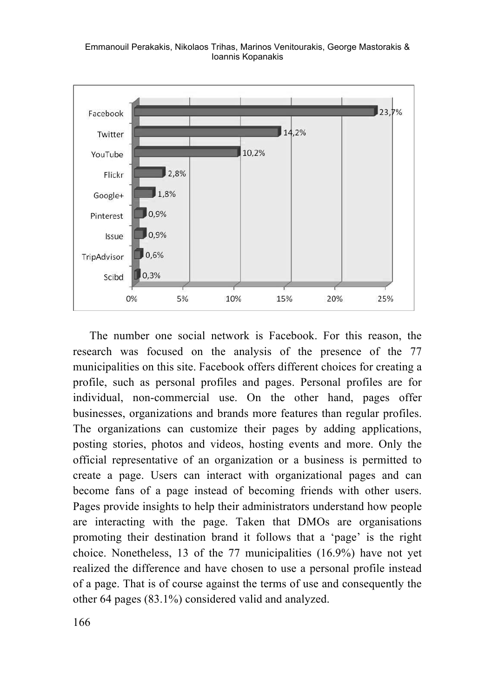Emmanouil Perakakis, Nikolaos Trihas, Marinos Venitourakis, George Mastorakis & Ioannis Kopanakis



The number one social network is Facebook. For this reason, the research was focused on the analysis of the presence of the 77 municipalities on this site. Facebook offers different choices for creating a profile, such as personal profiles and pages. Personal profiles are for individual, non-commercial use. On the other hand, pages offer businesses, organizations and brands more features than regular profiles. The organizations can customize their pages by adding applications, posting stories, photos and videos, hosting events and more. Only the official representative of an organization or a business is permitted to create a page. Users can interact with organizational pages and can become fans of a page instead of becoming friends with other users. Pages provide insights to help their administrators understand how people are interacting with the page. Taken that DMOs are organisations promoting their destination brand it follows that a 'page' is the right choice. Nonetheless, 13 of the 77 municipalities (16.9%) have not yet realized the difference and have chosen to use a personal profile instead of a page. That is of course against the terms of use and consequently the other 64 pages (83.1%) considered valid and analyzed.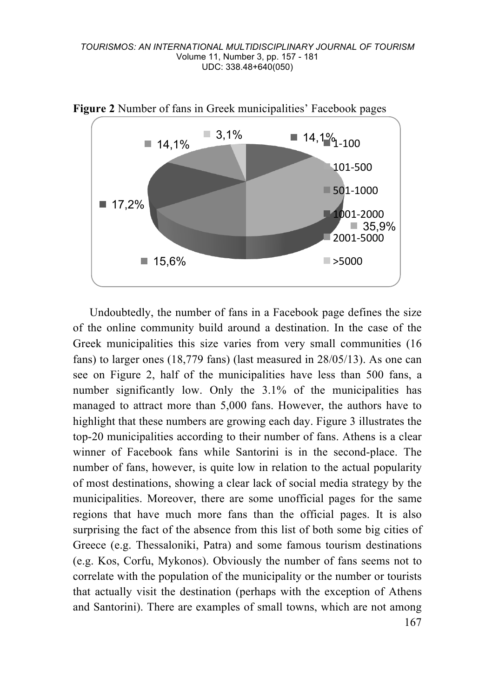

**Figure 2** Number of fans in Greek municipalities' Facebook pages

167 Undoubtedly, the number of fans in a Facebook page defines the size of the online community build around a destination. In the case of the Greek municipalities this size varies from very small communities (16 fans) to larger ones (18,779 fans) (last measured in 28/05/13). As one can see on Figure 2, half of the municipalities have less than 500 fans, a number significantly low. Only the 3.1% of the municipalities has managed to attract more than 5,000 fans. However, the authors have to highlight that these numbers are growing each day. Figure 3 illustrates the top-20 municipalities according to their number of fans. Athens is a clear winner of Facebook fans while Santorini is in the second-place. The number of fans, however, is quite low in relation to the actual popularity of most destinations, showing a clear lack of social media strategy by the municipalities. Moreover, there are some unofficial pages for the same regions that have much more fans than the official pages. It is also surprising the fact of the absence from this list of both some big cities of Greece (e.g. Thessaloniki, Patra) and some famous tourism destinations (e.g. Kos, Corfu, Mykonos). Obviously the number of fans seems not to correlate with the population of the municipality or the number or tourists that actually visit the destination (perhaps with the exception of Athens and Santorini). There are examples of small towns, which are not among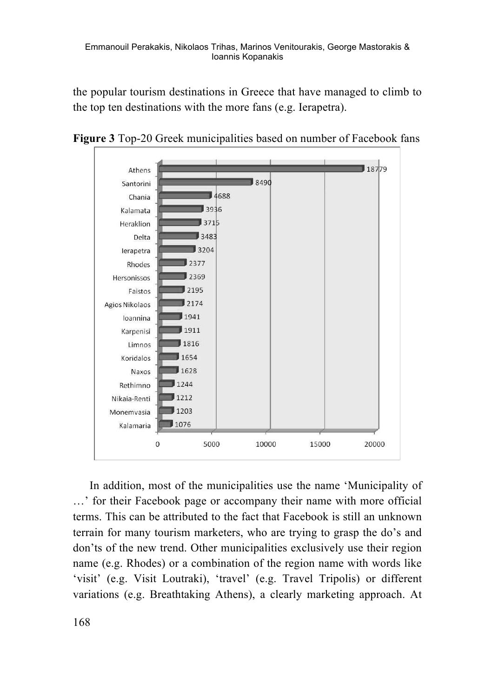the popular tourism destinations in Greece that have managed to climb to the top ten destinations with the more fans (e.g. Ierapetra).



**Figure 3** Top-20 Greek municipalities based on number of Facebook fans

In addition, most of the municipalities use the name 'Municipality of …' for their Facebook page or accompany their name with more official terms. This can be attributed to the fact that Facebook is still an unknown terrain for many tourism marketers, who are trying to grasp the do's and don'ts of the new trend. Other municipalities exclusively use their region name (e.g. Rhodes) or a combination of the region name with words like 'visit' (e.g. Visit Loutraki), 'travel' (e.g. Travel Tripolis) or different variations (e.g. Breathtaking Athens), a clearly marketing approach. At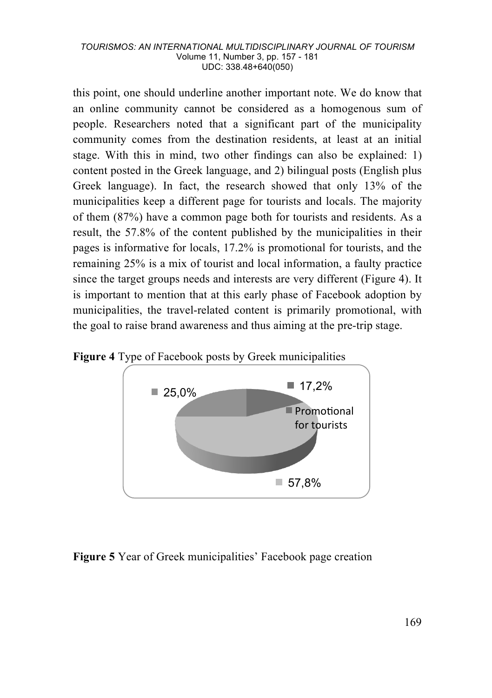this point, one should underline another important note. We do know that an online community cannot be considered as a homogenous sum of people. Researchers noted that a significant part of the municipality community comes from the destination residents, at least at an initial stage. With this in mind, two other findings can also be explained: 1) content posted in the Greek language, and 2) bilingual posts (English plus Greek language). In fact, the research showed that only 13% of the municipalities keep a different page for tourists and locals. The majority of them (87%) have a common page both for tourists and residents. As a result, the 57.8% of the content published by the municipalities in their pages is informative for locals, 17.2% is promotional for tourists, and the remaining 25% is a mix of tourist and local information, a faulty practice since the target groups needs and interests are very different (Figure 4). It is important to mention that at this early phase of Facebook adoption by municipalities, the travel-related content is primarily promotional, with the goal to raise brand awareness and thus aiming at the pre-trip stage.

**Figure 4** Type of Facebook posts by Greek municipalities



### **Figure 5** Year of Greek municipalities' Facebook page creation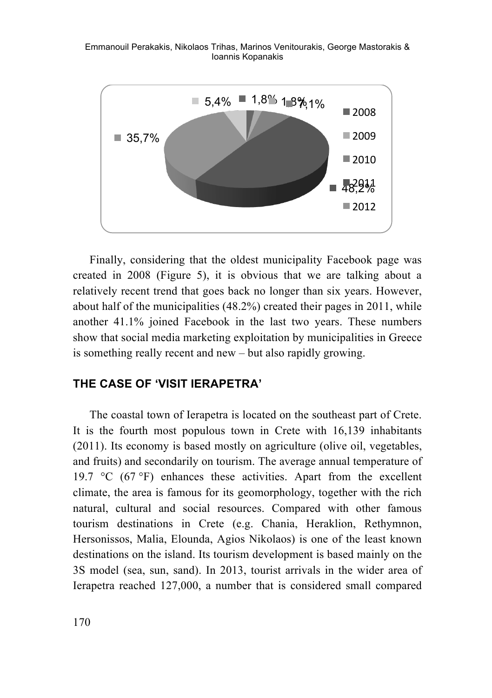Emmanouil Perakakis, Nikolaos Trihas, Marinos Venitourakis, George Mastorakis & Ioannis Kopanakis



Finally, considering that the oldest municipality Facebook page was created in 2008 (Figure 5), it is obvious that we are talking about a relatively recent trend that goes back no longer than six years. However, about half of the municipalities (48.2%) created their pages in 2011, while another 41.1% joined Facebook in the last two years. These numbers show that social media marketing exploitation by municipalities in Greece is something really recent and new – but also rapidly growing.

### **THE CASE OF 'VISIT IERAPETRA'**

The coastal town of Ierapetra is located on the southeast part of Crete. It is the fourth most populous town in Crete with 16,139 inhabitants (2011). Its economy is based mostly on agriculture (olive oil, vegetables, and fruits) and secondarily on tourism. The average annual temperature of 19.7  $\degree$ C (67 $\degree$ F) enhances these activities. Apart from the excellent climate, the area is famous for its geomorphology, together with the rich natural, cultural and social resources. Compared with other famous tourism destinations in Crete (e.g. Chania, Heraklion, Rethymnon, Hersonissos, Malia, Elounda, Agios Nikolaos) is one of the least known destinations on the island. Its tourism development is based mainly on the 3S model (sea, sun, sand). In 2013, tourist arrivals in the wider area of Ierapetra reached 127,000, a number that is considered small compared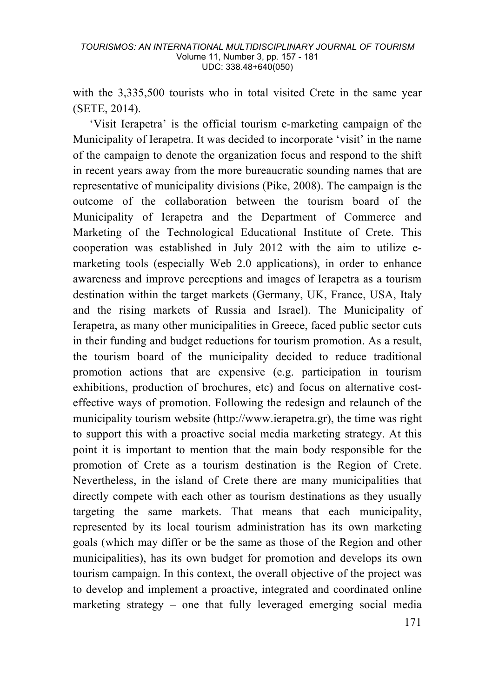with the 3,335,500 tourists who in total visited Crete in the same year (SETE, 2014).

'Visit Ierapetra' is the official tourism e-marketing campaign of the Municipality of Ierapetra. It was decided to incorporate 'visit' in the name of the campaign to denote the organization focus and respond to the shift in recent years away from the more bureaucratic sounding names that are representative of municipality divisions (Pike, 2008). The campaign is the outcome of the collaboration between the tourism board of the Municipality of Ierapetra and the Department of Commerce and Marketing of the Technological Educational Institute of Crete. This cooperation was established in July 2012 with the aim to utilize emarketing tools (especially Web 2.0 applications), in order to enhance awareness and improve perceptions and images of Ierapetra as a tourism destination within the target markets (Germany, UK, France, USA, Italy and the rising markets of Russia and Israel). The Municipality of Ierapetra, as many other municipalities in Greece, faced public sector cuts in their funding and budget reductions for tourism promotion. As a result, the tourism board of the municipality decided to reduce traditional promotion actions that are expensive (e.g. participation in tourism exhibitions, production of brochures, etc) and focus on alternative costeffective ways of promotion. Following the redesign and relaunch of the municipality tourism website (http://www.ierapetra.gr), the time was right to support this with a proactive social media marketing strategy. At this point it is important to mention that the main body responsible for the promotion of Crete as a tourism destination is the Region of Crete. Nevertheless, in the island of Crete there are many municipalities that directly compete with each other as tourism destinations as they usually targeting the same markets. That means that each municipality, represented by its local tourism administration has its own marketing goals (which may differ or be the same as those of the Region and other municipalities), has its own budget for promotion and develops its own tourism campaign. In this context, the overall objective of the project was to develop and implement a proactive, integrated and coordinated online marketing strategy – one that fully leveraged emerging social media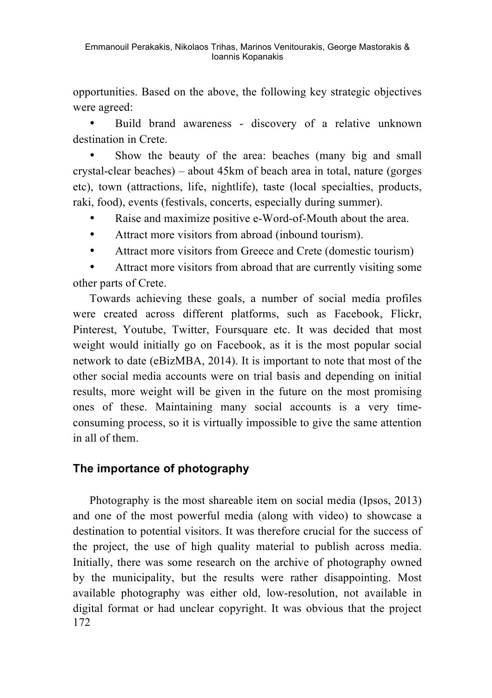opportunities. Based on the above, the following key strategic objectives were agreed:

• Build brand awareness - discovery of a relative unknown destination in Crete.

Show the beauty of the area: beaches (many big and small crystal-clear beaches) – about 45km of beach area in total, nature (gorges etc), town (attractions, life, nightlife), taste (local specialties, products, raki, food), events (festivals, concerts, especially during summer).

- Raise and maximize positive e-Word-of-Mouth about the area.
- Attract more visitors from abroad (inbound tourism).
- Attract more visitors from Greece and Crete (domestic tourism)

Attract more visitors from abroad that are currently visiting some other parts of Crete.

Towards achieving these goals, a number of social media profiles were created across different platforms, such as Facebook, Flickr, Pinterest, Youtube, Twitter, Foursquare etc. It was decided that most weight would initially go on Facebook, as it is the most popular social network to date (eBizMBA, 2014). It is important to note that most of the other social media accounts were on trial basis and depending on initial results, more weight will be given in the future on the most promising ones of these. Maintaining many social accounts is a very timeconsuming process, so it is virtually impossible to give the same attention in all of them.

# **The importance of photography**

172 Photography is the most shareable item on social media (Ipsos, 2013) and one of the most powerful media (along with video) to showcase a destination to potential visitors. It was therefore crucial for the success of the project, the use of high quality material to publish across media. Initially, there was some research on the archive of photography owned by the municipality, but the results were rather disappointing. Most available photography was either old, low-resolution, not available in digital format or had unclear copyright. It was obvious that the project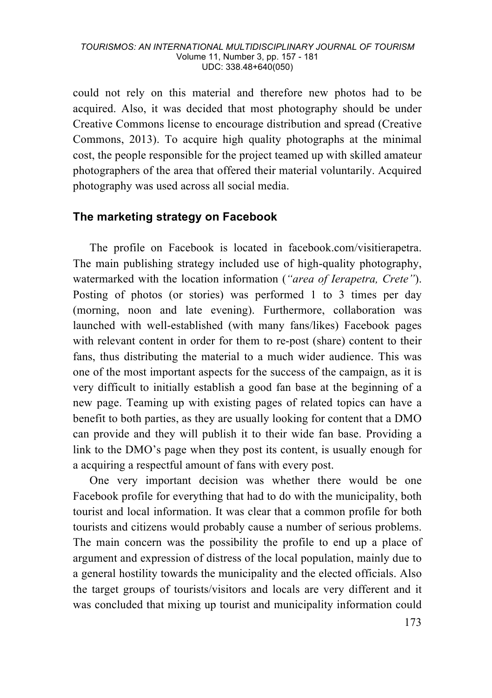could not rely on this material and therefore new photos had to be acquired. Also, it was decided that most photography should be under Creative Commons license to encourage distribution and spread (Creative Commons, 2013). To acquire high quality photographs at the minimal cost, the people responsible for the project teamed up with skilled amateur photographers of the area that offered their material voluntarily. Acquired photography was used across all social media.

# **The marketing strategy on Facebook**

The profile on Facebook is located in facebook.com/visitierapetra. The main publishing strategy included use of high-quality photography, watermarked with the location information (*"area of Ierapetra, Crete"*). Posting of photos (or stories) was performed 1 to 3 times per day (morning, noon and late evening). Furthermore, collaboration was launched with well-established (with many fans/likes) Facebook pages with relevant content in order for them to re-post (share) content to their fans, thus distributing the material to a much wider audience. This was one of the most important aspects for the success of the campaign, as it is very difficult to initially establish a good fan base at the beginning of a new page. Teaming up with existing pages of related topics can have a benefit to both parties, as they are usually looking for content that a DMO can provide and they will publish it to their wide fan base. Providing a link to the DMO's page when they post its content, is usually enough for a acquiring a respectful amount of fans with every post.

One very important decision was whether there would be one Facebook profile for everything that had to do with the municipality, both tourist and local information. It was clear that a common profile for both tourists and citizens would probably cause a number of serious problems. The main concern was the possibility the profile to end up a place of argument and expression of distress of the local population, mainly due to a general hostility towards the municipality and the elected officials. Also the target groups of tourists/visitors and locals are very different and it was concluded that mixing up tourist and municipality information could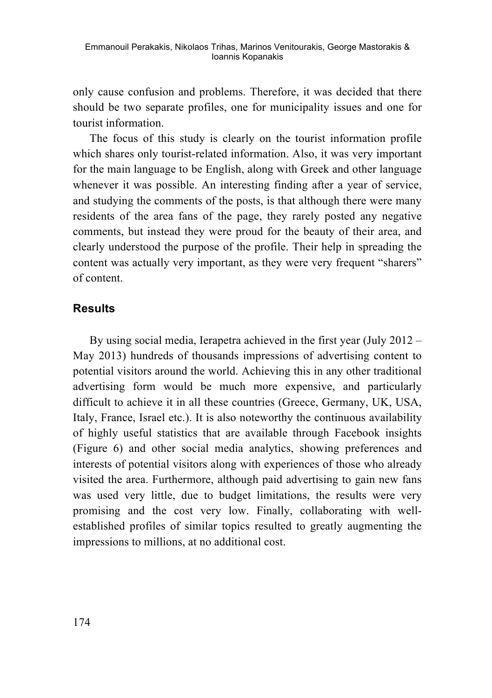only cause confusion and problems. Therefore, it was decided that there should be two separate profiles, one for municipality issues and one for tourist information.

The focus of this study is clearly on the tourist information profile which shares only tourist-related information. Also, it was very important for the main language to be English, along with Greek and other language whenever it was possible. An interesting finding after a year of service, and studying the comments of the posts, is that although there were many residents of the area fans of the page, they rarely posted any negative comments, but instead they were proud for the beauty of their area, and clearly understood the purpose of the profile. Their help in spreading the content was actually very important, as they were very frequent "sharers" of content.

### **Results**

By using social media, Ierapetra achieved in the first year (July 2012 – May 2013) hundreds of thousands impressions of advertising content to potential visitors around the world. Achieving this in any other traditional advertising form would be much more expensive, and particularly difficult to achieve it in all these countries (Greece, Germany, UK, USA, Italy, France, Israel etc.). It is also noteworthy the continuous availability of highly useful statistics that are available through Facebook insights (Figure 6) and other social media analytics, showing preferences and interests of potential visitors along with experiences of those who already visited the area. Furthermore, although paid advertising to gain new fans was used very little, due to budget limitations, the results were very promising and the cost very low. Finally, collaborating with wellestablished profiles of similar topics resulted to greatly augmenting the impressions to millions, at no additional cost.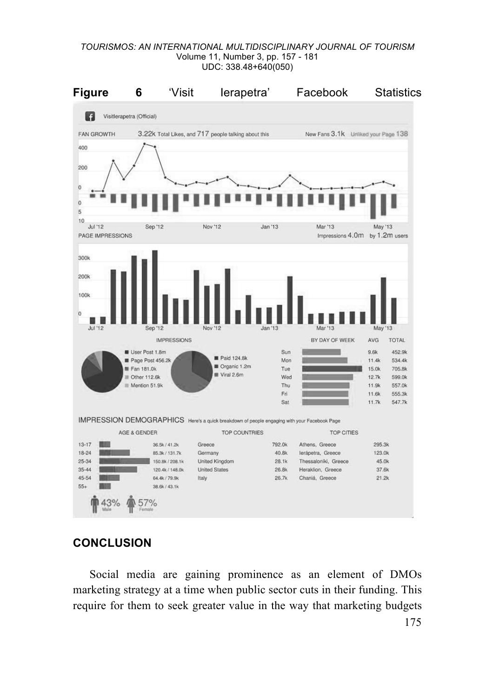

# **CONCLUSION**

Social media are gaining prominence as an element of DMOs marketing strategy at a time when public sector cuts in their funding. This require for them to seek greater value in the way that marketing budgets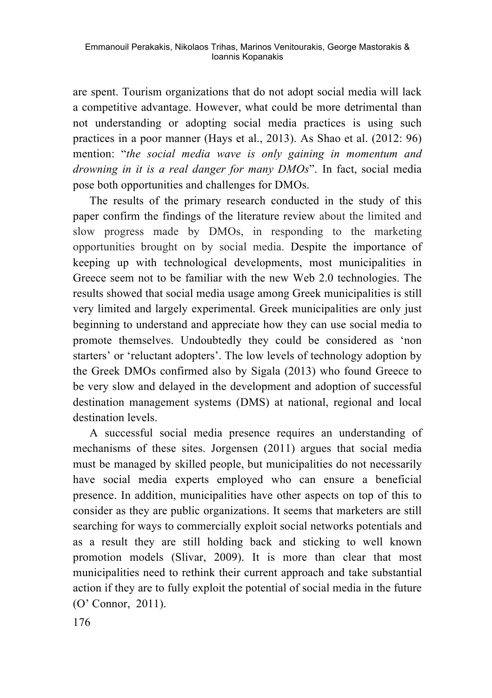are spent. Tourism organizations that do not adopt social media will lack a competitive advantage. However, what could be more detrimental than not understanding or adopting social media practices is using such practices in a poor manner (Hays et al., 2013). As Shao et al. (2012: 96) mention: "*the social media wave is only gaining in momentum and drowning in it is a real danger for many DMOs*". In fact, social media pose both opportunities and challenges for DMOs.

The results of the primary research conducted in the study of this paper confirm the findings of the literature review about the limited and slow progress made by DMOs, in responding to the marketing opportunities brought on by social media. Despite the importance of keeping up with technological developments, most municipalities in Greece seem not to be familiar with the new Web 2.0 technologies. The results showed that social media usage among Greek municipalities is still very limited and largely experimental. Greek municipalities are only just beginning to understand and appreciate how they can use social media to promote themselves. Undoubtedly they could be considered as 'non starters' or 'reluctant adopters'. The low levels of technology adoption by the Greek DMOs confirmed also by Sigala (2013) who found Greece to be very slow and delayed in the development and adoption of successful destination management systems (DMS) at national, regional and local destination levels.

A successful social media presence requires an understanding of mechanisms of these sites. Jorgensen (2011) argues that social media must be managed by skilled people, but municipalities do not necessarily have social media experts employed who can ensure a beneficial presence. In addition, municipalities have other aspects on top of this to consider as they are public organizations. It seems that marketers are still searching for ways to commercially exploit social networks potentials and as a result they are still holding back and sticking to well known promotion models (Slivar, 2009). It is more than clear that most municipalities need to rethink their current approach and take substantial action if they are to fully exploit the potential of social media in the future (O' Connor, 2011).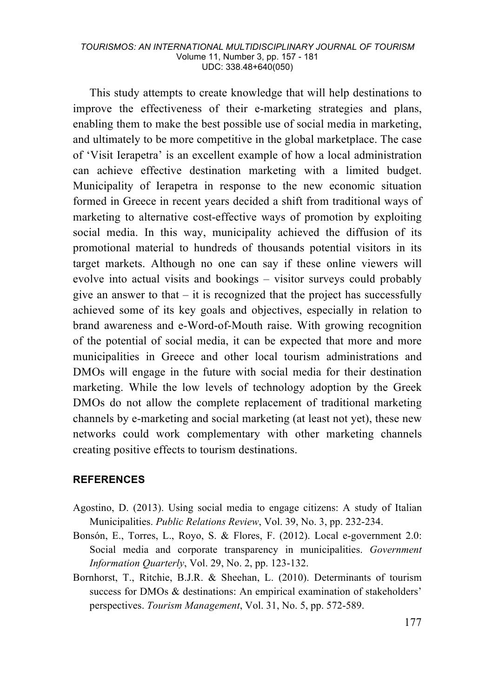This study attempts to create knowledge that will help destinations to improve the effectiveness of their e-marketing strategies and plans, enabling them to make the best possible use of social media in marketing, and ultimately to be more competitive in the global marketplace. The case of 'Visit Ierapetra' is an excellent example of how a local administration can achieve effective destination marketing with a limited budget. Municipality of Ierapetra in response to the new economic situation formed in Greece in recent years decided a shift from traditional ways of marketing to alternative cost-effective ways of promotion by exploiting social media. In this way, municipality achieved the diffusion of its promotional material to hundreds of thousands potential visitors in its target markets. Although no one can say if these online viewers will evolve into actual visits and bookings – visitor surveys could probably give an answer to that  $-$  it is recognized that the project has successfully achieved some of its key goals and objectives, especially in relation to brand awareness and e-Word-of-Mouth raise. With growing recognition of the potential of social media, it can be expected that more and more municipalities in Greece and other local tourism administrations and DMOs will engage in the future with social media for their destination marketing. While the low levels of technology adoption by the Greek DMOs do not allow the complete replacement of traditional marketing channels by e-marketing and social marketing (at least not yet), these new networks could work complementary with other marketing channels creating positive effects to tourism destinations.

### **REFERENCES**

- Agostino, D. (2013). Using social media to engage citizens: A study of Italian Municipalities. *Public Relations Review*, Vol. 39, No. 3, pp. 232-234.
- Bonsón, E., Torres, L., Royo, S. & Flores, F. (2012). Local e-government 2.0: Social media and corporate transparency in municipalities. *Government Information Quarterly*, Vol. 29, No. 2, pp. 123-132.
- Bornhorst, T., Ritchie, B.J.R. & Sheehan, L. (2010). Determinants of tourism success for DMOs & destinations: An empirical examination of stakeholders' perspectives. *Tourism Management*, Vol. 31, No. 5, pp. 572-589.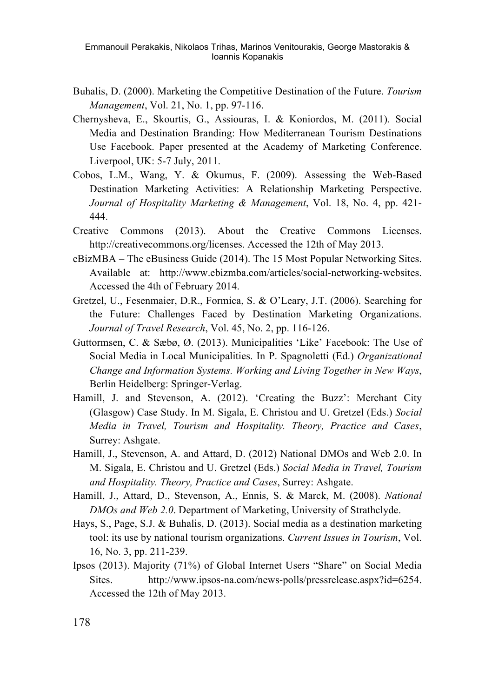- Buhalis, D. (2000). Marketing the Competitive Destination of the Future. *Tourism Management*, Vol. 21, No. 1, pp. 97-116.
- Chernysheva, E., Skourtis, G., Assiouras, I. & Koniordos, M. (2011). Social Media and Destination Branding: How Mediterranean Tourism Destinations Use Facebook. Paper presented at the Academy of Marketing Conference. Liverpool, UK: 5-7 July, 2011.
- Cobos, L.M., Wang, Y. & Okumus, F. (2009). Assessing the Web-Based Destination Marketing Activities: A Relationship Marketing Perspective. *Journal of Hospitality Marketing & Management*, Vol. 18, No. 4, pp. 421- 444.
- Creative Commons (2013). About the Creative Commons Licenses. http://creativecommons.org/licenses. Accessed the 12th of May 2013.
- eBizMBA The eBusiness Guide (2014). The 15 Most Popular Networking Sites. Available at: http://www.ebizmba.com/articles/social-networking-websites. Accessed the 4th of February 2014.
- Gretzel, U., Fesenmaier, D.R., Formica, S. & O'Leary, J.T. (2006). Searching for the Future: Challenges Faced by Destination Marketing Organizations. *Journal of Travel Research*, Vol. 45, No. 2, pp. 116-126.
- Guttormsen, C. & Sæbø, Ø. (2013). Municipalities 'Like' Facebook: The Use of Social Media in Local Municipalities. In P. Spagnoletti (Ed.) *Organizational Change and Information Systems. Working and Living Together in New Ways*, Berlin Heidelberg: Springer-Verlag.
- Hamill, J. and Stevenson, A. (2012). 'Creating the Buzz': Merchant City (Glasgow) Case Study. In M. Sigala, E. Christou and U. Gretzel (Eds.) *Social Media in Travel, Tourism and Hospitality. Theory, Practice and Cases*, Surrey: Ashgate.
- Hamill, J., Stevenson, A. and Attard, D. (2012) National DMOs and Web 2.0. In M. Sigala, E. Christou and U. Gretzel (Eds.) *Social Media in Travel, Tourism and Hospitality. Theory, Practice and Cases*, Surrey: Ashgate.
- Hamill, J., Attard, D., Stevenson, A., Ennis, S. & Marck, M. (2008). *National DMOs and Web 2.0*. Department of Marketing, University of Strathclyde.
- Hays, S., Page, S.J. & Buhalis, D. (2013). Social media as a destination marketing tool: its use by national tourism organizations. *Current Issues in Tourism*, Vol. 16, No. 3, pp. 211-239.
- Ipsos (2013). Majority (71%) of Global Internet Users "Share" on Social Media Sites. http://www.ipsos-na.com/news-polls/pressrelease.aspx?id=6254. Accessed the 12th of May 2013.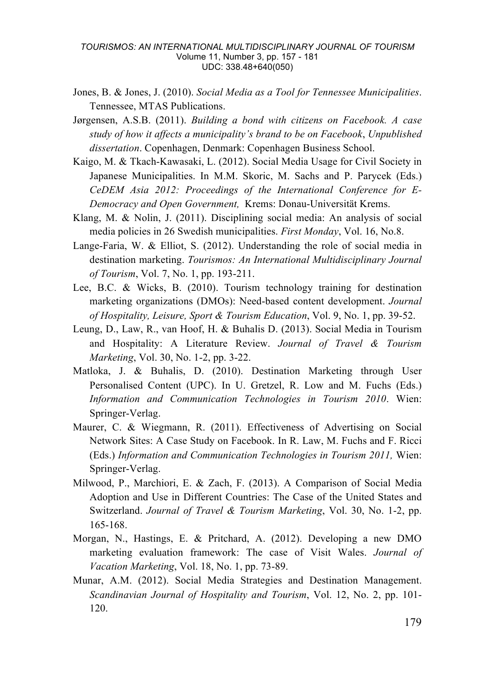- Jones, B. & Jones, J. (2010). *Social Media as a Tool for Tennessee Municipalities*. Tennessee, MTAS Publications.
- Jørgensen, A.S.B. (2011). *Building a bond with citizens on Facebook. A case study of how it affects a municipality's brand to be on Facebook*, *Unpublished dissertation*. Copenhagen, Denmark: Copenhagen Business School.
- Kaigo, M. & Tkach-Kawasaki, L. (2012). Social Media Usage for Civil Society in Japanese Municipalities. In M.M. Skoric, M. Sachs and P. Parycek (Eds.) *CeDEM Asia 2012: Proceedings of the International Conference for E-Democracy and Open Government,* Krems: Donau-Universität Krems.
- Klang, M. & Nolin, J. (2011). Disciplining social media: An analysis of social media policies in 26 Swedish municipalities. *First Monday*, Vol. 16, No.8.
- Lange-Faria, W. & Elliot, S. (2012). Understanding the role of social media in destination marketing. *Tourismos: An International Multidisciplinary Journal of Tourism*, Vol. 7, No. 1, pp. 193-211.
- Lee, B.C. & Wicks, B. (2010). Tourism technology training for destination marketing organizations (DMOs): Need-based content development. *Journal of Hospitality, Leisure, Sport & Tourism Education*, Vol. 9, No. 1, pp. 39-52.
- Leung, D., Law, R., van Hoof, H. & Buhalis D. (2013). Social Media in Tourism and Hospitality: A Literature Review. *Journal of Travel & Tourism Marketing*, Vol. 30, No. 1-2, pp. 3-22.
- Matloka, J. & Buhalis, D. (2010). Destination Marketing through User Personalised Content (UPC). In U. Gretzel, R. Low and M. Fuchs (Eds.) *Information and Communication Technologies in Tourism 2010*. Wien: Springer-Verlag.
- Maurer, C. & Wiegmann, R. (2011). Effectiveness of Advertising on Social Network Sites: A Case Study on Facebook. In R. Law, M. Fuchs and F. Ricci (Eds.) *Information and Communication Technologies in Tourism 2011,* Wien: Springer-Verlag.
- Milwood, P., Marchiori, E. & Zach, F. (2013). A Comparison of Social Media Adoption and Use in Different Countries: The Case of the United States and Switzerland. *Journal of Travel & Tourism Marketing*, Vol. 30, No. 1-2, pp. 165-168.
- Morgan, N., Hastings, E. & Pritchard, A. (2012). Developing a new DMO marketing evaluation framework: The case of Visit Wales. *Journal of Vacation Marketing*, Vol. 18, No. 1, pp. 73-89.
- Munar, A.M. (2012). Social Media Strategies and Destination Management. *Scandinavian Journal of Hospitality and Tourism*, Vol. 12, No. 2, pp. 101- 120.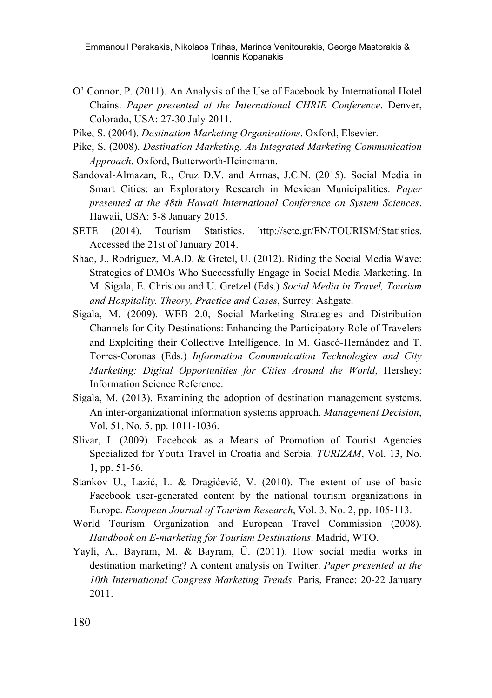Emmanouil Perakakis, Nikolaos Trihas, Marinos Venitourakis, George Mastorakis & Ioannis Kopanakis

- O' Connor, P. (2011). An Analysis of the Use of Facebook by International Hotel Chains. *Paper presented at the International CHRIE Conference*. Denver, Colorado, USA: 27-30 July 2011.
- Pike, S. (2004). *Destination Marketing Organisations*. Oxford, Elsevier.
- Pike, S. (2008). *Destination Marketing. An Integrated Marketing Communication Approach*. Oxford, Butterworth-Heinemann.
- Sandoval-Almazan, R., Cruz D.V. and Armas, J.C.N. (2015). Social Media in Smart Cities: an Exploratory Research in Mexican Municipalities. *Paper presented at the 48th Hawaii International Conference on System Sciences*. Hawaii, USA: 5-8 January 2015.
- SETE (2014). Tourism Statistics. http://sete.gr/EN/TOURISM/Statistics. Accessed the 21st of January 2014.
- Shao, J., Rodríguez, M.A.D. & Gretel, U. (2012). Riding the Social Media Wave: Strategies of DMOs Who Successfully Engage in Social Media Marketing. In M. Sigala, E. Christou and U. Gretzel (Eds.) *Social Media in Travel, Tourism and Hospitality. Theory, Practice and Cases*, Surrey: Ashgate.
- Sigala, M. (2009). WEB 2.0, Social Marketing Strategies and Distribution Channels for City Destinations: Enhancing the Participatory Role of Travelers and Exploiting their Collective Intelligence. In M. Gascó-Hernández and T. Torres-Coronas (Eds.) *Information Communication Technologies and City Marketing: Digital Opportunities for Cities Around the World*, Hershey: Information Science Reference.
- Sigala, M. (2013). Examining the adoption of destination management systems. An inter-organizational information systems approach. *Management Decision*, Vol. 51, No. 5, pp. 1011-1036.
- Slivar, I. (2009). Facebook as a Means of Promotion of Tourist Agencies Specialized for Youth Travel in Croatia and Serbia. *TURIZAM*, Vol. 13, No. 1, pp. 51-56.
- Stankov U., Lazić, L. & Dragićević, V. (2010). The extent of use of basic Facebook user-generated content by the national tourism organizations in Europe. *European Journal of Tourism Research*, Vol. 3, No. 2, pp. 105-113.
- World Tourism Organization and European Travel Commission (2008). *Handbook on E-marketing for Tourism Destinations*. Madrid, WTO.
- Yayli, A., Bayram, M. & Bayram, Ü. (2011). How social media works in destination marketing? A content analysis on Twitter. *Paper presented at the 10th International Congress Marketing Trends*. Paris, France: 20-22 January 2011.